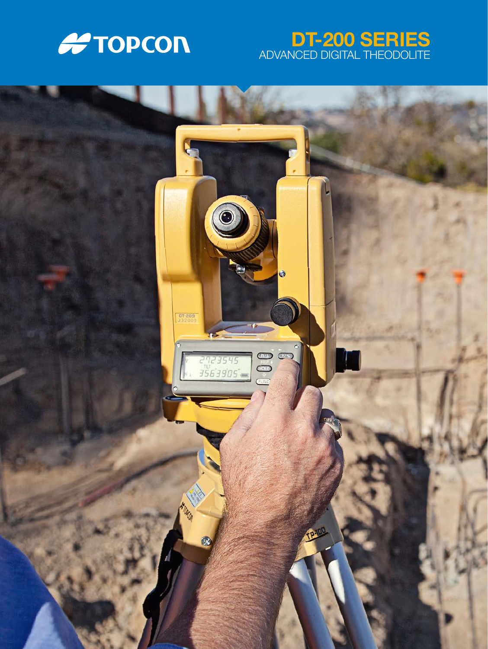

# DT-200 SERIES ADVANCED DIGITAL THEODOLITE

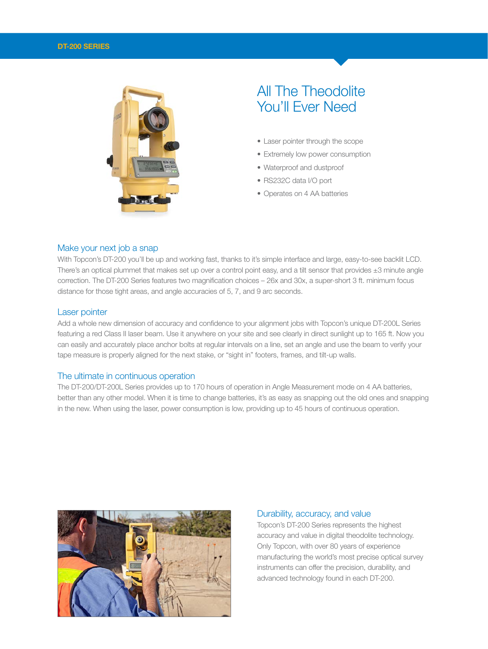

# All The Theodolite You'll Ever Need

- Laser pointer through the scope
- Extremely low power consumption
- Waterproof and dustproof
- RS232C data I/O port
- Operates on 4 AA batteries

#### Make your next job a snap

With Topcon's DT-200 you'll be up and working fast, thanks to it's simple interface and large, easy-to-see backlit LCD. There's an optical plummet that makes set up over a control point easy, and a tilt sensor that provides  $\pm 3$  minute angle correction. The DT-200 Series features two magnification choices – 26x and 30x, a super-short 3 ft. minimum focus distance for those tight areas, and angle accuracies of 5, 7, and 9 arc seconds.

#### Laser pointer

Add a whole new dimension of accuracy and confidence to your alignment jobs with Topcon's unique DT-200L Series featuring a red Class II laser beam. Use it anywhere on your site and see clearly in direct sunlight up to 165 ft. Now you can easily and accurately place anchor bolts at regular intervals on a line, set an angle and use the beam to verify your tape measure is properly aligned for the next stake, or "sight in" footers, frames, and tilt-up walls.

#### The ultimate in continuous operation

The DT-200/DT-200L Series provides up to 170 hours of operation in Angle Measurement mode on 4 AA batteries, better than any other model. When it is time to change batteries, it's as easy as snapping out the old ones and snapping in the new. When using the laser, power consumption is low, providing up to 45 hours of continuous operation.



#### Durability, accuracy, and value

Topcon's DT-200 Series represents the highest accuracy and value in digital theodolite technology. Only Topcon, with over 80 years of experience manufacturing the world's most precise optical survey instruments can offer the precision, durability, and advanced technology found in each DT-200.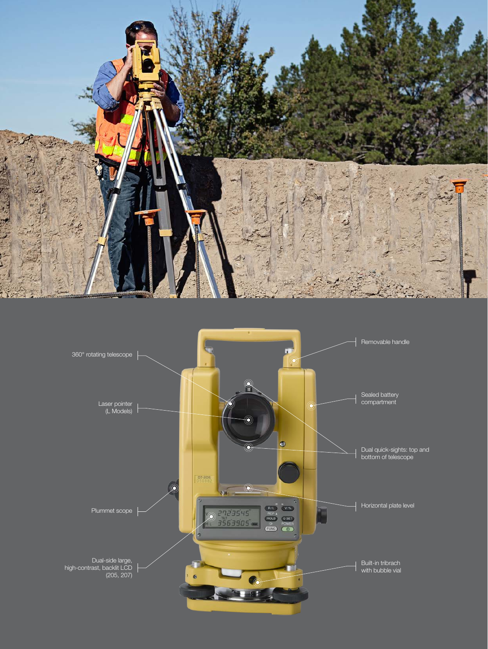